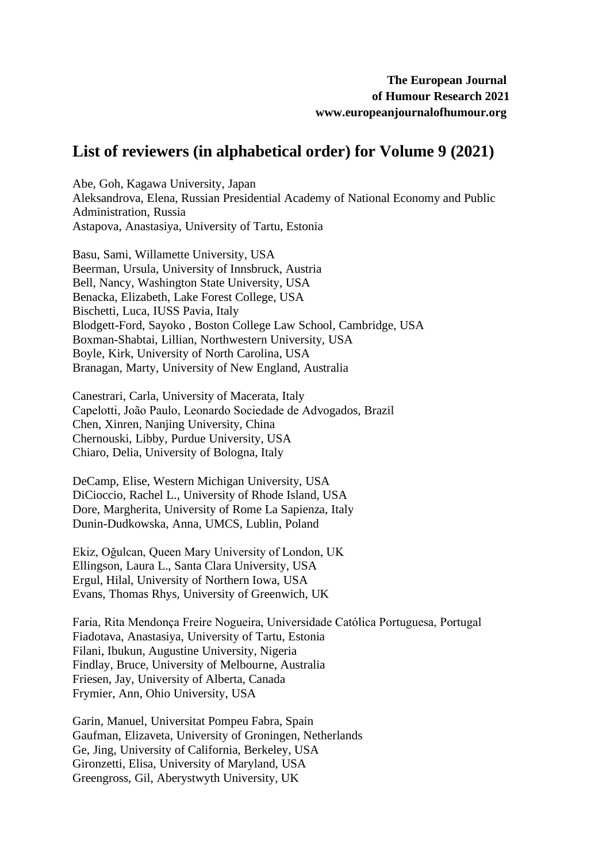## **List of reviewers (in alphabetical order) for Volume 9 (2021)**

Abe, Goh, Kagawa University, Japan Aleksandrova, Elena, Russian Presidential Academy of National Economy and Public Administration, Russia Astapova, Anastasiya, University of Tartu, Estonia

Basu, Sami, Willamette University, USA Beerman, Ursula, University of Innsbruck, Austria Bell, Nancy, Washington State University, USA Benacka, Elizabeth, Lake Forest College, USA Bischetti, Luca, IUSS Pavia, Italy Blodgett-Ford, Sayoko , Boston College Law School, Cambridge, USA Boxman-Shabtai, Lillian, Northwestern University, USA Boyle, Kirk, University of North Carolina, USA Branagan, Marty, University of New England, Australia

Canestrari, Carla, University of Macerata, Italy Capelotti, João Paulo, Leonardo Sociedade de Advogados, Brazil Chen, Xinren, Nanjing University, China Chernouski, Libby, Purdue University, USA Chiaro, Delia, University of Bologna, Italy

DeCamp, Elise, Western Michigan University, USA DiCioccio, Rachel L., University of Rhode Island, USA Dore, Margherita, University of Rome La Sapienza, Italy Dunin-Dudkowska, Anna, UMCS, Lublin, Poland

Ekiz, Oğulcan, Queen Mary University of London, UK Ellingson, Laura L., Santa Clara University, USA Ergul, Hilal, University of Northern Iowa, USA Evans, Thomas Rhys, University of Greenwich, UK

Faria, Rita Mendonça Freire Nogueira, Universidade Católica Portuguesa, Portugal Fiadotava, Anastasiya, University of Tartu, Estonia Filani, Ibukun, Augustine University, Nigeria Findlay, Bruce, University of Melbourne, Australia Friesen, Jay, University of Alberta, Canada Frymier, Ann, Ohio University, USA

Garin, Manuel, Universitat Pompeu Fabra, Spain Gaufman, Elizaveta, University of Groningen, Netherlands Ge, Jing, University of California, Berkeley, USA Gironzetti, Elisa, University of Maryland, USA Greengross, Gil, Aberystwyth University, UK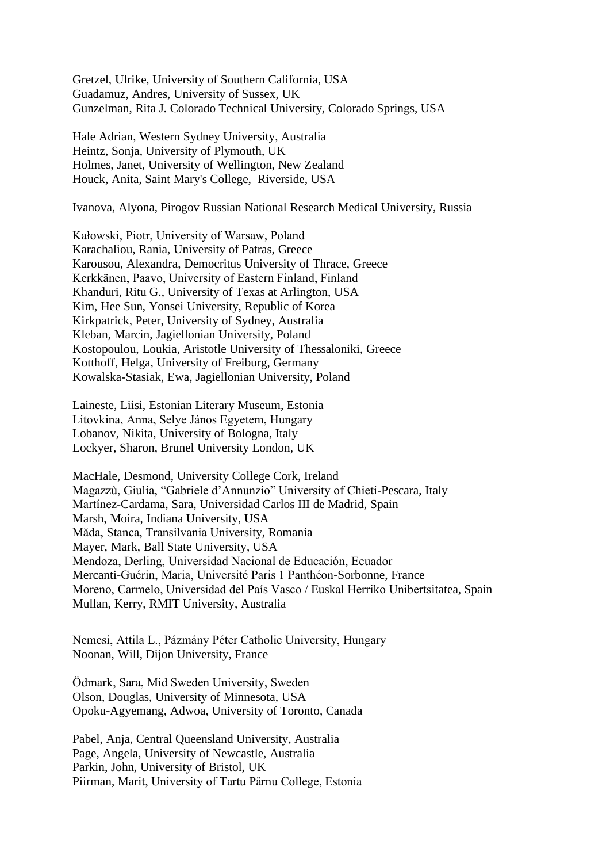Gretzel, Ulrike, University of Southern California, USA Guadamuz, Andres, University of Sussex, UK Gunzelman, Rita J. Colorado Technical University, Colorado Springs, USA

Hale Adrian, Western Sydney University, Australia Heintz, Sonja, University of Plymouth, UK Holmes, Janet, University of Wellington, New Zealand Houck, Anita, Saint Mary's College, Riverside, USA

Ivanova, Alyona, Pirogov Russian National Research Medical University, Russia

Kałowski, Piotr, University of Warsaw, Poland Karachaliou, Rania, University of Patras, Greece Karousou, Alexandra, Democritus University of Thrace, Greece Kerkkänen, Paavo, University of Eastern Finland, Finland Khanduri, Ritu G., University of Texas at Arlington, USA Kim, Hee Sun, Yonsei University, Republic of Korea Kirkpatrick, Peter, University of Sydney, Australia Kleban, Marcin, Jagiellonian University, Poland Kostopoulou, Loukia, Aristotle University of Thessaloniki, Greece Kotthoff, Helga, University of Freiburg, Germany Kowalska-Stasiak, Ewa, Jagiellonian University, Poland

Laineste, Liisi, Estonian Literary Museum, Estonia Litovkina, Anna, Selye János Egyetem, Hungary Lobanov, Nikita, University of Bologna, Italy Lockyer, Sharon, Brunel University London, UK

MacHale, Desmond, University College Cork, Ireland Magazzù, Giulia, "Gabriele d'Annunzio" University of Chieti-Pescara, Italy Martínez-Cardama, Sara, Universidad Carlos III de Madrid, Spain Marsh, Moira, Indiana University, USA Măda, Stanca, Transilvania University, Romania Mayer, Mark, Ball State University, USA Mendoza, Derling, Universidad Nacional de Educación, Ecuador Mercanti-Guérin, Maria, Université Paris 1 Panthéon-Sorbonne, France Moreno, Carmelo, Universidad del País Vasco / Euskal Herriko Unibertsitatea, Spain Mullan, Kerry, RMIT University, Australia

Nemesi, Attila L., Pázmány Péter Catholic University, Hungary Noonan, Will, Dijon University, France

Ödmark, Sara, Mid Sweden University, Sweden Olson, Douglas, University of Minnesota, USA Opoku-Agyemang, Adwoa, University of Toronto, Canada

Pabel, Anja, Central Queensland University, Australia Page, Angela, University of Newcastle, Australia Parkin, John, University of Bristol, UK Piirman, Marit, University of Tartu Pärnu College, Estonia